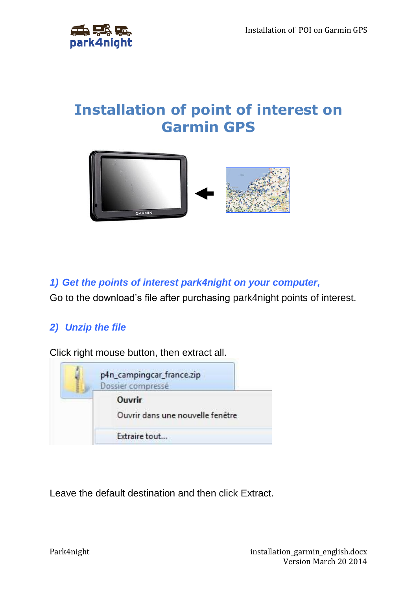

# **Installation of point of interest on Garmin GPS**



*1) Get the points of interest park4night on your computer,*

Go to the download's file after purchasing park4night points of interest.

## *2) Unzip the file*

Click right mouse button, then extract all.



Leave the default destination and then click Extract.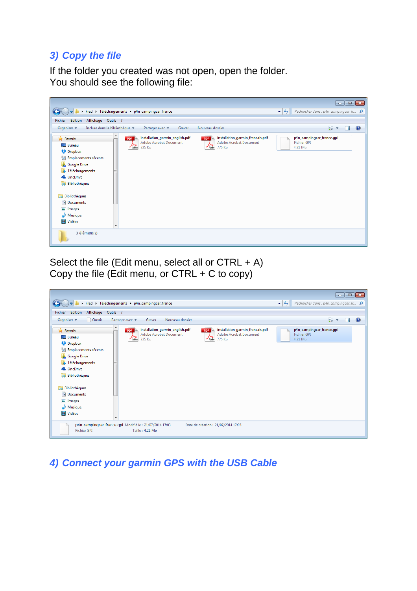### *3) Copy the file*

If the folder you created was not open, open the folder. You should see the following file:



Select the file (Edit menu, select all or  $CTRL + A$ ) Copy the file (Edit menu, or CTRL + C to copy)

|                                                                                                                                                                                                                                                                                                                                                                                                                                                                                                         | $\begin{array}{c c c c c c} \hline \multicolumn{3}{c }{-} & \multicolumn{3}{c }{-} & \multicolumn{3}{c }{x} & \multicolumn{3}{c }{x} & \multicolumn{3}{c }{x} & \multicolumn{3}{c }{x} & \multicolumn{3}{c }{x} & \multicolumn{3}{c }{x} & \multicolumn{3}{c }{x} & \multicolumn{3}{c }{x} & \multicolumn{3}{c }{x} & \multicolumn{3}{c }{x} & \multicolumn{3}{c }{x} & \multicolumn{3}{c }{x} & \multicolumn{3}{c }{x} & \multicolumn{$ |  |
|---------------------------------------------------------------------------------------------------------------------------------------------------------------------------------------------------------------------------------------------------------------------------------------------------------------------------------------------------------------------------------------------------------------------------------------------------------------------------------------------------------|------------------------------------------------------------------------------------------------------------------------------------------------------------------------------------------------------------------------------------------------------------------------------------------------------------------------------------------------------------------------------------------------------------------------------------------|--|
| Fred > Téléchargements > p4n_campingcar_france                                                                                                                                                                                                                                                                                                                                                                                                                                                          | Rechercher dans : $p4n$ <sub>campingcar_fr</sub> $\Omega$<br>$\mathbf{v}$ $\mathbf{t}$                                                                                                                                                                                                                                                                                                                                                   |  |
| Edition<br>Affichage<br>Outils ?<br>Fichier                                                                                                                                                                                                                                                                                                                                                                                                                                                             |                                                                                                                                                                                                                                                                                                                                                                                                                                          |  |
| Ouvrir<br>Organiser $\blacktriangledown$<br>Partager avec ▼<br>Nouveau dossier<br>Graver                                                                                                                                                                                                                                                                                                                                                                                                                | 등 -<br>$\odot$                                                                                                                                                                                                                                                                                                                                                                                                                           |  |
| ۰<br>installation_garmin_english.pdf<br>installation_garmin_francais.pdf<br><b>X</b> Favoris<br><b>PDF</b><br><b>PDF</b><br><b>Adobe Acrobat Document</b><br><b>Adobe Acrobat Document</b><br><b>Bureau</b><br>775 Ko<br>725 Ko<br>Adobe<br>Adobe<br><b>Dropbox</b><br><b>Emplacements récents</b><br><b>C</b> Google Drive<br><b>C</b> Téléchargements<br><b>C</b> OneDrive<br><b>Bibliothèques</b><br>ã<br>Bibliothèques<br>Documents<br>Images<br>Musique<br>H<br>Vidéos<br>$\overline{\phantom{a}}$ | p4n_campingcar_france.gpi<br><b>Fichier GPI</b><br>4,21 Mo                                                                                                                                                                                                                                                                                                                                                                               |  |
| p4n_campingcar_france.gpi Modifié le : 21/07/2014 17:03<br>Date de création : 21/07/2014 17:03<br><b>Fichier GPI</b><br>Taille: 4,21 Mo                                                                                                                                                                                                                                                                                                                                                                 |                                                                                                                                                                                                                                                                                                                                                                                                                                          |  |

*4) Connect your garmin GPS with the USB Cable*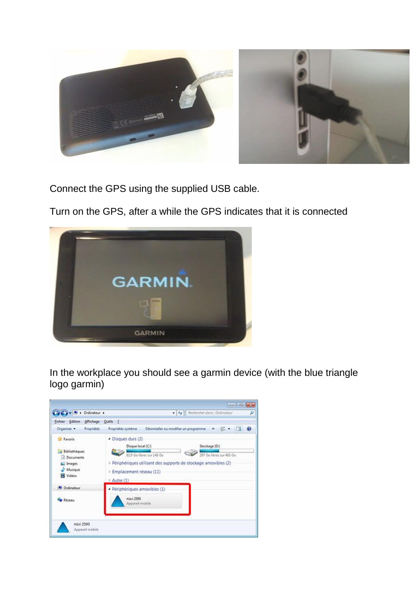

Connect the GPS using the supplied USB cable.

Turn on the GPS, after a while the GPS indicates that it is connected



In the workplace you should see a garmin device (with the blue triangle logo garmin)

| Edition<br><b>Fichier</b>                                                               | Affichage Qutils ?                                                                                                                                                                                                                           |
|-----------------------------------------------------------------------------------------|----------------------------------------------------------------------------------------------------------------------------------------------------------------------------------------------------------------------------------------------|
| Organiser .<br>Propriétés                                                               | a<br>Désinstaller ou modifier un programme > 25 -<br>Propriétés système                                                                                                                                                                      |
| <b>SC</b> Favoris<br><b>Bibliothèques</b><br>- Documents<br>images<br>Musique<br>Widéos | · Disques durs (2)<br>Stockage (D:)<br>Disque local (C:)<br>82.0 Go libres sur 148 Go<br>297 Go libres sur 465 Go<br>> Périphériques utilisant des supports de stockage amovibles (2)<br><sup>D</sup> Emplacement reseau (11)<br>> Autre (1) |
| Drdinateur<br><b>EN Réseau</b>                                                          | · Périphériques amovibles (1)<br>nüvi 2595<br>Apparell mobile                                                                                                                                                                                |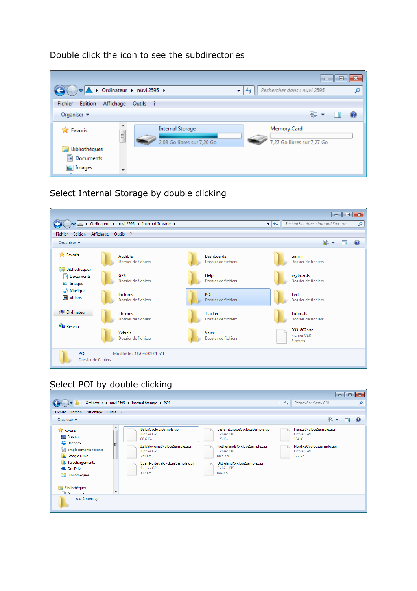Double click the icon to see the subdirectories

|                                                                      | > Ordinateur > nüvi 2595 >                                             | $\blacksquare$<br>Rechercher dans : nüvi 2595<br>م<br>٠<br>** |
|----------------------------------------------------------------------|------------------------------------------------------------------------|---------------------------------------------------------------|
| Edition<br>Fichier                                                   | Affichage<br>Outils ?                                                  |                                                               |
| Organiser $\blacktriangledown$                                       |                                                                        | !                                                             |
| <b>X</b> Favoris                                                     | ▴<br><b>Internal Storage</b><br>$\equiv$<br>2,08 Go libres sur 7,20 Go | Memory Card<br>7,27 Go libres sur 7,27 Go                     |
| Bibliothèques<br><b>General</b><br>E<br>Documents<br>$\equiv$ Images |                                                                        |                                                               |

Select Internal Storage by double clicking



#### Select POI by double clicking

|                                                                                                                                                                                    | ▶ Ordinateur ▶ nüvi 2595 ▶ Internal Storage ▶ POI                                                                                                                                                                                                                                                                                                                                                 | $\mathbf{v}$ $\mathbf{t}$ | $\begin{array}{c c c c c c} \hline \multicolumn{3}{c }{\mathbf{C}} & \multicolumn{3}{c }{\mathbf{S}} & \multicolumn{3}{c }{\mathbf{S}} & \multicolumn{3}{c }{\mathbf{S}} & \multicolumn{3}{c }{\mathbf{S}} & \multicolumn{3}{c }{\mathbf{S}} & \multicolumn{3}{c }{\mathbf{S}} & \multicolumn{3}{c }{\mathbf{S}} & \multicolumn{3}{c }{\mathbf{S}} & \multicolumn{3}{c }{\mathbf{S}} & \multicolumn{3}{c }{\mathbf{S}} & \multicolumn{3}{c }{\mathbf$<br>Rechercher dans : POI | م |
|------------------------------------------------------------------------------------------------------------------------------------------------------------------------------------|---------------------------------------------------------------------------------------------------------------------------------------------------------------------------------------------------------------------------------------------------------------------------------------------------------------------------------------------------------------------------------------------------|---------------------------|--------------------------------------------------------------------------------------------------------------------------------------------------------------------------------------------------------------------------------------------------------------------------------------------------------------------------------------------------------------------------------------------------------------------------------------------------------------------------------|---|
| Edition<br>Affichage Outils ?<br><b>Fichier</b><br>Organiser $\blacktriangleright$                                                                                                 |                                                                                                                                                                                                                                                                                                                                                                                                   |                           | $rac{1}{ u }$ $\rightarrow$                                                                                                                                                                                                                                                                                                                                                                                                                                                    | 0 |
| <b>X</b> Favoris<br><b>Bureau</b><br><b>Dropbox</b><br><b>Emplacements récents</b><br><b>Google Drive</b><br><b>B</b> Téléchargements<br><b>C</b> OneDrive<br><b>Bibliothèques</b> | BeluxCyclopsSample.gpi<br>EasternEuropeCyclopsSample.gpi<br><b>Fichier GPI</b><br><b>Fichier GPI</b><br>88.6 Ko<br>123 Ko<br>Ξ<br>ItalySloveniaCyclopsSample.gpi<br>NetherlandsCyclopsSample.gpi<br><b>Fichier GPI</b><br><b>Fichier GPI</b><br>251 Ko<br>66,5 Ko<br>SpainPortugalCyclopsSample.gpi<br>UKIrelandCyclopsSample.gpi<br><b>Fichier GPI</b><br><b>Fichier GPI</b><br>113 Ko<br>684 Ko |                           | FranceCyclopsSample.gpi<br><b>Fichier GPI</b><br>184 Ko<br>NordicsCyclopsSample.gpi<br><b>Fichier GPI</b><br>122 Ko                                                                                                                                                                                                                                                                                                                                                            |   |
| <b>Bibliothèques</b><br><b>Documents</b><br>8 élément(s)                                                                                                                           |                                                                                                                                                                                                                                                                                                                                                                                                   |                           |                                                                                                                                                                                                                                                                                                                                                                                                                                                                                |   |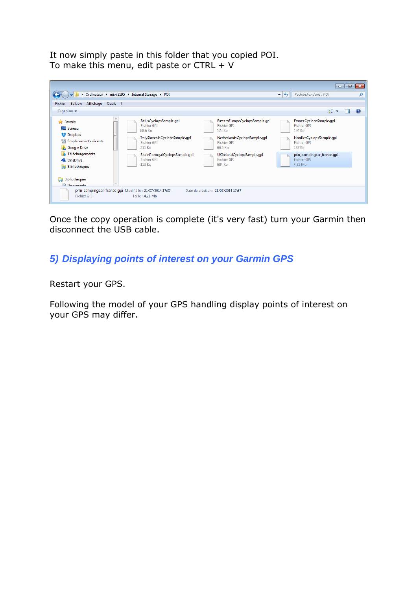It now simply paste in this folder that you copied POI. To make this menu, edit paste or  $CTRL + V$ 

|                                                                                                                                                                                   | > Ordinateur > nüvi 2595 > Internal Storage > POI                                                                                                                                                                                                                                                                                                                                            | $\begin{array}{c c c c c c} \hline \multicolumn{3}{c }{\mathbf{C}} & \multicolumn{3}{c }{\mathbf{S}} & \multicolumn{3}{c }{\mathbf{X}} \\\hline \multicolumn{3}{c }{\mathbf{C}} & \multicolumn{3}{c }{\mathbf{D}} & \multicolumn{3}{c }{\mathbf{S}} & \multicolumn{3}{c }{\mathbf{X}} \\\hline \multicolumn{3}{c }{\mathbf{C}} & \multicolumn{3}{c }{\mathbf{D}} & \multicolumn{3}{c }{\mathbf{S}} & \multicolumn{3}{c }{\mathbf{S}} \\\hline \multicolumn$<br>Rechercher dans : POI<br>۹<br>$\mathbf{v}$ $\mathbf{t}_{\mathbf{f}}$ |  |
|-----------------------------------------------------------------------------------------------------------------------------------------------------------------------------------|----------------------------------------------------------------------------------------------------------------------------------------------------------------------------------------------------------------------------------------------------------------------------------------------------------------------------------------------------------------------------------------------|-------------------------------------------------------------------------------------------------------------------------------------------------------------------------------------------------------------------------------------------------------------------------------------------------------------------------------------------------------------------------------------------------------------------------------------------------------------------------------------------------------------------------------------|--|
| Edition<br>Affichage Outils ?<br>Fichier<br>Organiser v                                                                                                                           |                                                                                                                                                                                                                                                                                                                                                                                              | 읇<br>$\circledR$                                                                                                                                                                                                                                                                                                                                                                                                                                                                                                                    |  |
| <b>X</b> Favoris<br><b>Bureau</b><br>Dropbox<br>Emplacements récents<br><b>Google Drive</b><br><b>J.</b> Téléchargements<br><b>C</b> OneDrive<br><b>Bibliothèques</b>             | BeluxCyclopsSample.gpi<br>EasternEuropeCyclopsSample.gpi<br><b>Fichier GPI</b><br><b>Fichier GPI</b><br>88.6 Ko<br>123 Ko<br>ItalySloveniaCyclopsSample.gpi<br>NetherlandsCyclopsSample.gpi<br><b>Fichier GPI</b><br><b>Fichier GPI</b><br>251 Ko<br>66,5 Ko<br>SpainPortugalCyclopsSample.gpi<br>UKIrelandCyclopsSample.gpi<br><b>Fichier GPI</b><br><b>Fichier GPI</b><br>113 Ko<br>684 Ko | FranceCyclopsSample.gpi<br><b>Fichier GPI</b><br>184 Ko<br>NordicsCyclopsSample.gpi<br><b>Fichier GPI</b><br>122 Ko<br>p4n_campingcar_france.gpi<br><b>Fichier GPI</b><br>4.21 Mo                                                                                                                                                                                                                                                                                                                                                   |  |
| E<br>Bibliothèques<br><b>Decuments</b><br>p4n_campingcar_france.gpi_Modifié le : 21/07/2014 17:37<br>Date de création : 21/07/2014 17:37<br><b>Fichier GPI</b><br>Taille: 4,21 Mo |                                                                                                                                                                                                                                                                                                                                                                                              |                                                                                                                                                                                                                                                                                                                                                                                                                                                                                                                                     |  |

Once the copy operation is complete (it's very fast) turn your Garmin then disconnect the USB cable.

#### *5) Displaying points of interest on your Garmin GPS*

Restart your GPS.

Following the model of your GPS handling display points of interest on your GPS may differ.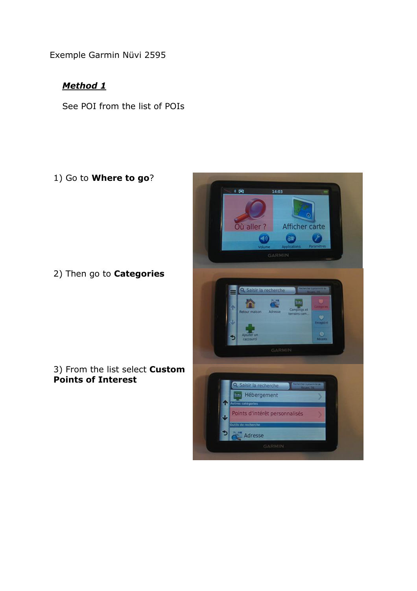Exemple Garmin Nüvi 2595

#### *Method 1*

See POI from the list of POIs

1) Go to **Where to go**?

2) Then go to **Categories**

3) From the list select **Custom Points of Interest**

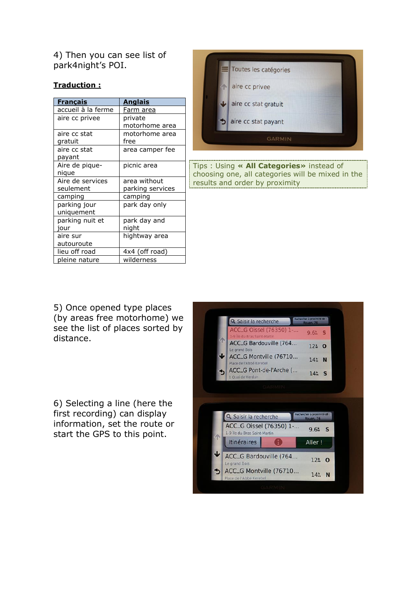4) Then you can see list of park4night's POI.

#### **Traduction :**

| Français           | <b>Anglais</b>   |
|--------------------|------------------|
| accueil à la ferme | Farm area        |
| aire cc privee     | private          |
|                    | motorhome area   |
| aire cc stat       | motorhome area   |
| gratuit            | free             |
| aire cc stat       | area camper fee  |
| payant             |                  |
| Aire de pique-     | picnic area      |
| nique              |                  |
| Aire de services   | area without     |
| seulement          | parking services |
| camping            | camping          |
| parking jour       | park day only    |
| uniquement         |                  |
| parking nuit et    | park day and     |
| jour               | night            |
| aire sur           | hightway area    |
| autouroute         |                  |
| lieu off road      | 4x4 (off road)   |
| pleine nature      | wilderness       |



Tips : Using **« All Categories»** instead of choosing one, all categories will be mixed in the results and order by proximity

5) Once opened type places (by areas free motorhome) we see the list of places sorted by distance.

6) Selecting a line (here the first recording) can display information, set the route or start the GPS to this point.

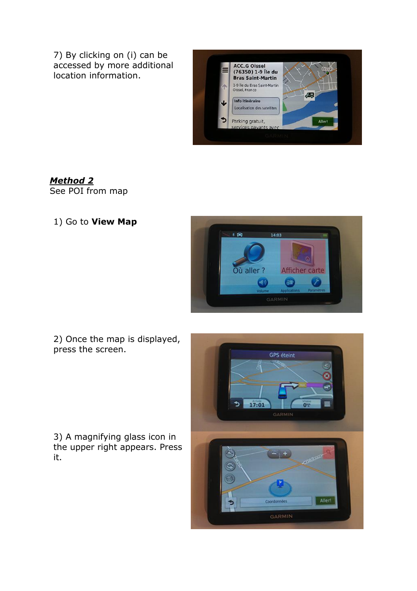7) By clicking on (i) can be accessed by more additional location information.



## *Method 2*

See POI from map

1) Go to **View Map**



2) Once the map is displayed, press the screen.

3) A magnifying glass icon in the upper right appears. Press it.